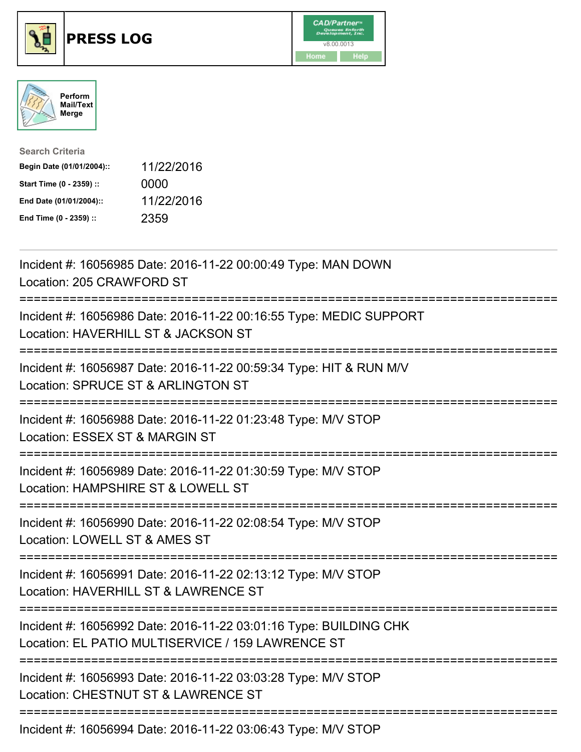





| <b>Search Criteria</b>    |            |
|---------------------------|------------|
| Begin Date (01/01/2004):: | 11/22/2016 |
| Start Time (0 - 2359) ::  | 0000       |
| End Date (01/01/2004)::   | 11/22/2016 |
| End Time (0 - 2359) ::    | 2359       |

| Incident #: 16056985 Date: 2016-11-22 00:00:49 Type: MAN DOWN<br>Location: 205 CRAWFORD ST                                             |
|----------------------------------------------------------------------------------------------------------------------------------------|
| Incident #: 16056986 Date: 2016-11-22 00:16:55 Type: MEDIC SUPPORT<br>Location: HAVERHILL ST & JACKSON ST                              |
| Incident #: 16056987 Date: 2016-11-22 00:59:34 Type: HIT & RUN M/V<br>Location: SPRUCE ST & ARLINGTON ST                               |
| Incident #: 16056988 Date: 2016-11-22 01:23:48 Type: M/V STOP<br>Location: ESSEX ST & MARGIN ST<br>-----------                         |
| Incident #: 16056989 Date: 2016-11-22 01:30:59 Type: M/V STOP<br>Location: HAMPSHIRE ST & LOWELL ST<br>.------------------------       |
| Incident #: 16056990 Date: 2016-11-22 02:08:54 Type: M/V STOP<br>Location: LOWELL ST & AMES ST<br>:=================================== |
| Incident #: 16056991 Date: 2016-11-22 02:13:12 Type: M/V STOP<br>Location: HAVERHILL ST & LAWRENCE ST                                  |
| Incident #: 16056992 Date: 2016-11-22 03:01:16 Type: BUILDING CHK<br>Location: EL PATIO MULTISERVICE / 159 LAWRENCE ST                 |
| Incident #: 16056993 Date: 2016-11-22 03:03:28 Type: M/V STOP<br>Location: CHESTNUT ST & LAWRENCE ST                                   |
| Incident #: 16056994 Date: 2016-11-22 03:06:43 Type: M/V STOP                                                                          |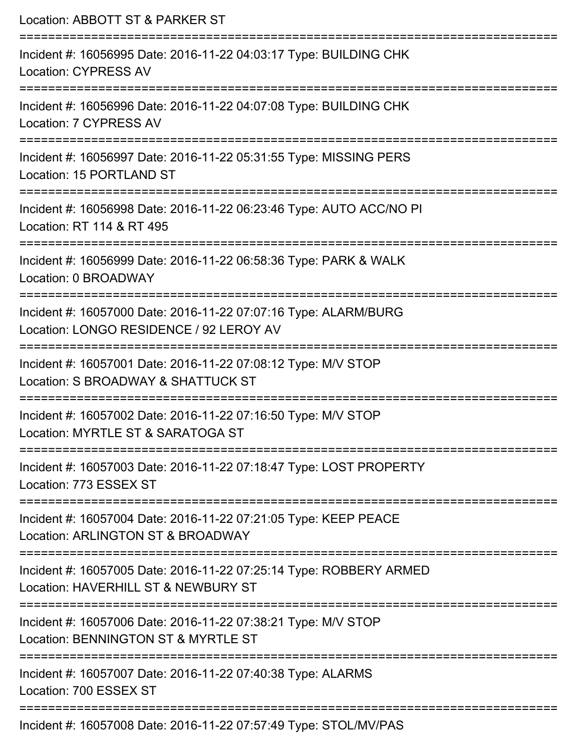| Location: ABBOTT ST & PARKER ST                                                                                                   |
|-----------------------------------------------------------------------------------------------------------------------------------|
| Incident #: 16056995 Date: 2016-11-22 04:03:17 Type: BUILDING CHK<br><b>Location: CYPRESS AV</b>                                  |
| Incident #: 16056996 Date: 2016-11-22 04:07:08 Type: BUILDING CHK<br>Location: 7 CYPRESS AV<br>================================== |
| Incident #: 16056997 Date: 2016-11-22 05:31:55 Type: MISSING PERS<br>Location: 15 PORTLAND ST                                     |
| Incident #: 16056998 Date: 2016-11-22 06:23:46 Type: AUTO ACC/NO PI<br>Location: RT 114 & RT 495                                  |
| Incident #: 16056999 Date: 2016-11-22 06:58:36 Type: PARK & WALK<br>Location: 0 BROADWAY                                          |
| Incident #: 16057000 Date: 2016-11-22 07:07:16 Type: ALARM/BURG<br>Location: LONGO RESIDENCE / 92 LEROY AV                        |
| Incident #: 16057001 Date: 2016-11-22 07:08:12 Type: M/V STOP<br>Location: S BROADWAY & SHATTUCK ST                               |
| Incident #: 16057002 Date: 2016-11-22 07:16:50 Type: M/V STOP<br>Location: MYRTLE ST & SARATOGA ST                                |
| Incident #: 16057003 Date: 2016-11-22 07:18:47 Type: LOST PROPERTY<br>Location: 773 ESSEX ST                                      |
| Incident #: 16057004 Date: 2016-11-22 07:21:05 Type: KEEP PEACE<br>Location: ARLINGTON ST & BROADWAY                              |
| Incident #: 16057005 Date: 2016-11-22 07:25:14 Type: ROBBERY ARMED<br>Location: HAVERHILL ST & NEWBURY ST                         |
| Incident #: 16057006 Date: 2016-11-22 07:38:21 Type: M/V STOP<br>Location: BENNINGTON ST & MYRTLE ST                              |
| Incident #: 16057007 Date: 2016-11-22 07:40:38 Type: ALARMS<br>Location: 700 ESSEX ST                                             |
| Incident #: 16057008 Date: 2016-11-22 07:57:49 Type: STOL/MV/PAS                                                                  |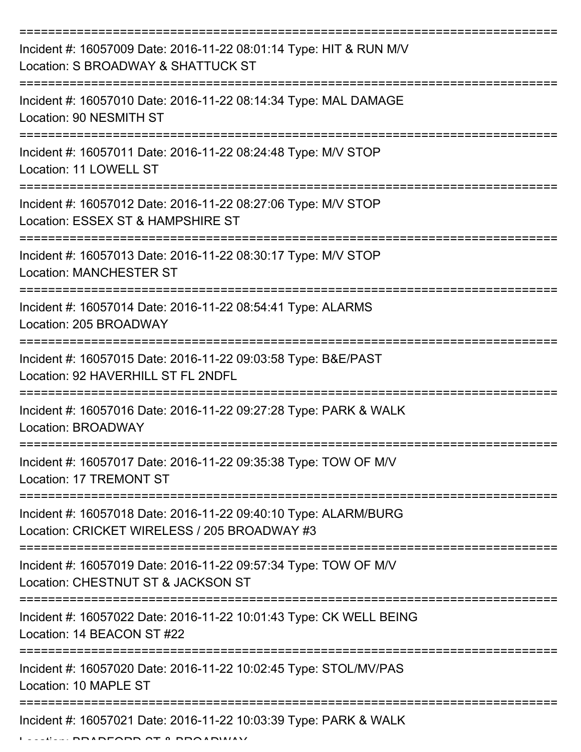| Incident #: 16057009 Date: 2016-11-22 08:01:14 Type: HIT & RUN M/V<br>Location: S BROADWAY & SHATTUCK ST                        |
|---------------------------------------------------------------------------------------------------------------------------------|
| Incident #: 16057010 Date: 2016-11-22 08:14:34 Type: MAL DAMAGE<br>Location: 90 NESMITH ST                                      |
| Incident #: 16057011 Date: 2016-11-22 08:24:48 Type: M/V STOP<br>Location: 11 LOWELL ST                                         |
| Incident #: 16057012 Date: 2016-11-22 08:27:06 Type: M/V STOP<br>Location: ESSEX ST & HAMPSHIRE ST                              |
| Incident #: 16057013 Date: 2016-11-22 08:30:17 Type: M/V STOP<br><b>Location: MANCHESTER ST</b>                                 |
| Incident #: 16057014 Date: 2016-11-22 08:54:41 Type: ALARMS<br>Location: 205 BROADWAY                                           |
| ========================<br>Incident #: 16057015 Date: 2016-11-22 09:03:58 Type: B&E/PAST<br>Location: 92 HAVERHILL ST FL 2NDFL |
| Incident #: 16057016 Date: 2016-11-22 09:27:28 Type: PARK & WALK<br><b>Location: BROADWAY</b>                                   |
| Incident #: 16057017 Date: 2016-11-22 09:35:38 Type: TOW OF M/V<br>Location: 17 TREMONT ST                                      |
| Incident #: 16057018 Date: 2016-11-22 09:40:10 Type: ALARM/BURG<br>Location: CRICKET WIRELESS / 205 BROADWAY #3                 |
| Incident #: 16057019 Date: 2016-11-22 09:57:34 Type: TOW OF M/V<br>Location: CHESTNUT ST & JACKSON ST                           |
| Incident #: 16057022 Date: 2016-11-22 10:01:43 Type: CK WELL BEING<br>Location: 14 BEACON ST #22                                |
| Incident #: 16057020 Date: 2016-11-22 10:02:45 Type: STOL/MV/PAS<br>Location: 10 MAPLE ST                                       |
| Incident #: 16057021 Date: 2016-11-22 10:03:39 Type: PARK & WALK<br>DEADD AT A DDA ADUIN                                        |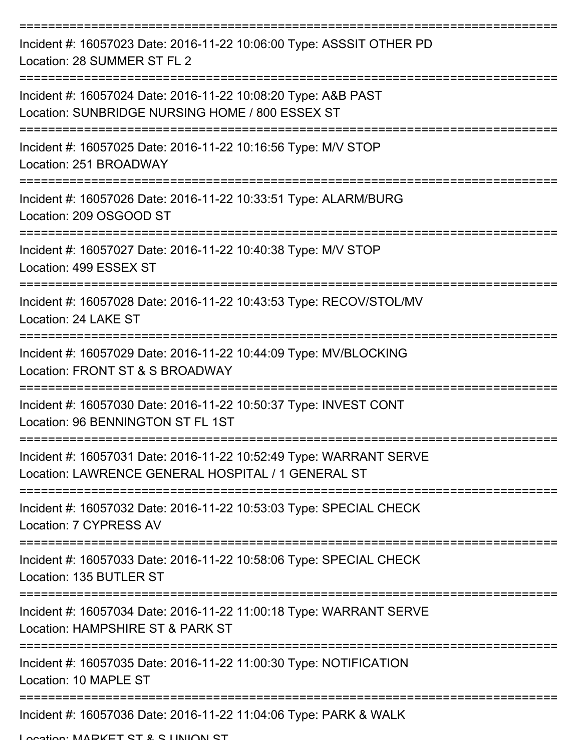| Incident #: 16057023 Date: 2016-11-22 10:06:00 Type: ASSSIT OTHER PD<br>Location: 28 SUMMER ST FL 2                      |
|--------------------------------------------------------------------------------------------------------------------------|
| Incident #: 16057024 Date: 2016-11-22 10:08:20 Type: A&B PAST<br>Location: SUNBRIDGE NURSING HOME / 800 ESSEX ST         |
| Incident #: 16057025 Date: 2016-11-22 10:16:56 Type: M/V STOP<br>Location: 251 BROADWAY                                  |
| Incident #: 16057026 Date: 2016-11-22 10:33:51 Type: ALARM/BURG<br>Location: 209 OSGOOD ST                               |
| Incident #: 16057027 Date: 2016-11-22 10:40:38 Type: M/V STOP<br>Location: 499 ESSEX ST                                  |
| Incident #: 16057028 Date: 2016-11-22 10:43:53 Type: RECOV/STOL/MV<br>Location: 24 LAKE ST                               |
| Incident #: 16057029 Date: 2016-11-22 10:44:09 Type: MV/BLOCKING<br>Location: FRONT ST & S BROADWAY                      |
| Incident #: 16057030 Date: 2016-11-22 10:50:37 Type: INVEST CONT<br>Location: 96 BENNINGTON ST FL 1ST                    |
| Incident #: 16057031 Date: 2016-11-22 10:52:49 Type: WARRANT SERVE<br>Location: LAWRENCE GENERAL HOSPITAL / 1 GENERAL ST |
| Incident #: 16057032 Date: 2016-11-22 10:53:03 Type: SPECIAL CHECK<br>Location: 7 CYPRESS AV                             |
| Incident #: 16057033 Date: 2016-11-22 10:58:06 Type: SPECIAL CHECK<br>Location: 135 BUTLER ST                            |
| Incident #: 16057034 Date: 2016-11-22 11:00:18 Type: WARRANT SERVE<br>Location: HAMPSHIRE ST & PARK ST                   |
| Incident #: 16057035 Date: 2016-11-22 11:00:30 Type: NOTIFICATION<br>Location: 10 MAPLE ST                               |
| Incident #: 16057036 Date: 2016-11-22 11:04:06 Type: PARK & WALK                                                         |

Location: MADKET CT & C LINIION CT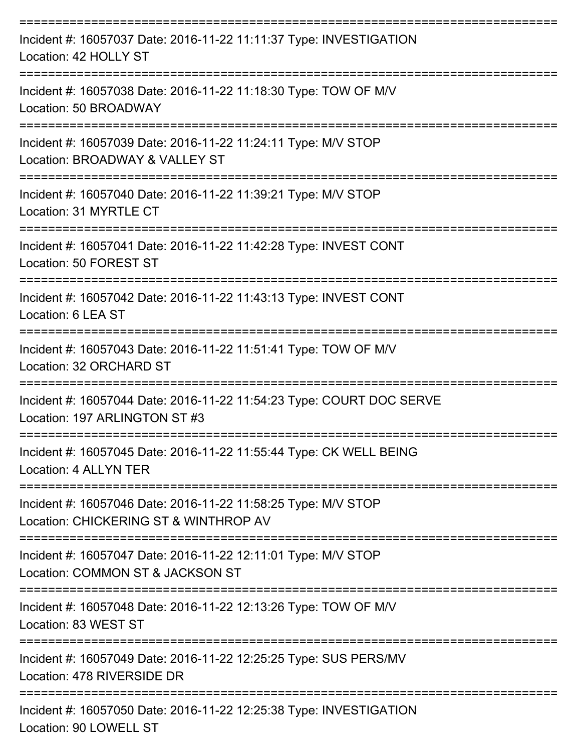| Incident #: 16057037 Date: 2016-11-22 11:11:37 Type: INVESTIGATION<br>Location: 42 HOLLY ST            |
|--------------------------------------------------------------------------------------------------------|
| Incident #: 16057038 Date: 2016-11-22 11:18:30 Type: TOW OF M/V<br>Location: 50 BROADWAY               |
| Incident #: 16057039 Date: 2016-11-22 11:24:11 Type: M/V STOP<br>Location: BROADWAY & VALLEY ST        |
| Incident #: 16057040 Date: 2016-11-22 11:39:21 Type: M/V STOP<br>Location: 31 MYRTLE CT                |
| Incident #: 16057041 Date: 2016-11-22 11:42:28 Type: INVEST CONT<br>Location: 50 FOREST ST             |
| Incident #: 16057042 Date: 2016-11-22 11:43:13 Type: INVEST CONT<br>Location: 6 LEA ST                 |
| Incident #: 16057043 Date: 2016-11-22 11:51:41 Type: TOW OF M/V<br>Location: 32 ORCHARD ST             |
| Incident #: 16057044 Date: 2016-11-22 11:54:23 Type: COURT DOC SERVE<br>Location: 197 ARI INGTON ST #3 |
| Incident #: 16057045 Date: 2016-11-22 11:55:44 Type: CK WELL BEING<br>Location: 4 ALLYN TER            |
| Incident #: 16057046 Date: 2016-11-22 11:58:25 Type: M/V STOP<br>Location: CHICKERING ST & WINTHROP AV |
| Incident #: 16057047 Date: 2016-11-22 12:11:01 Type: M/V STOP<br>Location: COMMON ST & JACKSON ST      |
| Incident #: 16057048 Date: 2016-11-22 12:13:26 Type: TOW OF M/V<br>Location: 83 WEST ST                |
| Incident #: 16057049 Date: 2016-11-22 12:25:25 Type: SUS PERS/MV<br>Location: 478 RIVERSIDE DR         |
| Incident #: 16057050 Date: 2016-11-22 12:25:38 Type: INVESTIGATION<br>Location: 90 LOWELL ST           |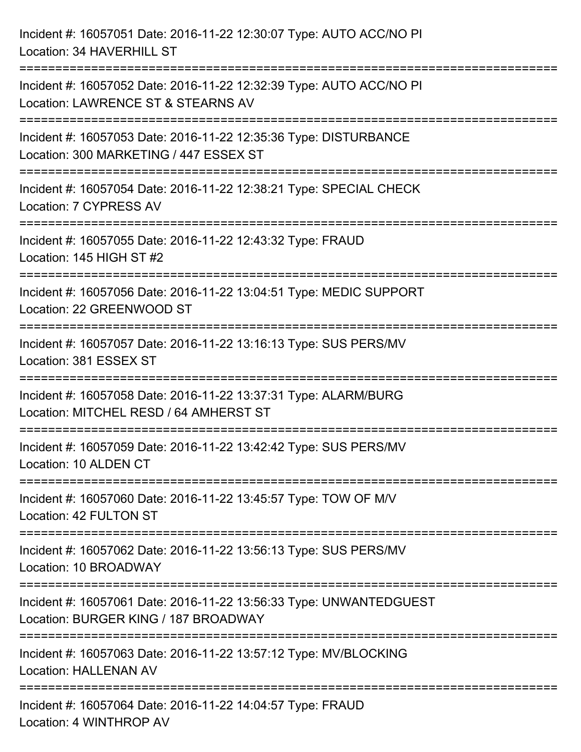| Incident #: 16057051 Date: 2016-11-22 12:30:07 Type: AUTO ACC/NO PI<br>Location: 34 HAVERHILL ST                                                   |
|----------------------------------------------------------------------------------------------------------------------------------------------------|
| Incident #: 16057052 Date: 2016-11-22 12:32:39 Type: AUTO ACC/NO PI<br>Location: LAWRENCE ST & STEARNS AV                                          |
| Incident #: 16057053 Date: 2016-11-22 12:35:36 Type: DISTURBANCE<br>Location: 300 MARKETING / 447 ESSEX ST<br>==================================== |
| Incident #: 16057054 Date: 2016-11-22 12:38:21 Type: SPECIAL CHECK<br>Location: 7 CYPRESS AV                                                       |
| Incident #: 16057055 Date: 2016-11-22 12:43:32 Type: FRAUD<br>Location: 145 HIGH ST #2<br>-------------------------------                          |
| Incident #: 16057056 Date: 2016-11-22 13:04:51 Type: MEDIC SUPPORT<br>Location: 22 GREENWOOD ST                                                    |
| Incident #: 16057057 Date: 2016-11-22 13:16:13 Type: SUS PERS/MV<br>Location: 381 ESSEX ST                                                         |
| Incident #: 16057058 Date: 2016-11-22 13:37:31 Type: ALARM/BURG<br>Location: MITCHEL RESD / 64 AMHERST ST                                          |
| Incident #: 16057059 Date: 2016-11-22 13:42:42 Type: SUS PERS/MV<br>Location: 10 ALDEN CT                                                          |
| Incident #: 16057060 Date: 2016-11-22 13:45:57 Type: TOW OF M/V<br>Location: 42 FULTON ST                                                          |
| Incident #: 16057062 Date: 2016-11-22 13:56:13 Type: SUS PERS/MV<br>Location: 10 BROADWAY                                                          |
| Incident #: 16057061 Date: 2016-11-22 13:56:33 Type: UNWANTEDGUEST<br>Location: BURGER KING / 187 BROADWAY                                         |
| Incident #: 16057063 Date: 2016-11-22 13:57:12 Type: MV/BLOCKING<br><b>Location: HALLENAN AV</b>                                                   |
| Incident #: 16057064 Date: 2016-11-22 14:04:57 Type: FRAUD<br>Location: 4 WINTHROP AV                                                              |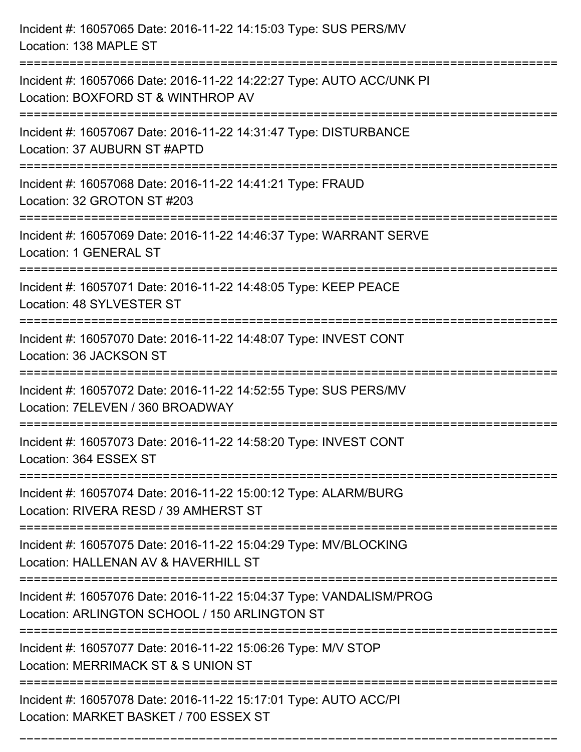| Incident #: 16057065 Date: 2016-11-22 14:15:03 Type: SUS PERS/MV<br>Location: 138 MAPLE ST                                  |
|-----------------------------------------------------------------------------------------------------------------------------|
| Incident #: 16057066 Date: 2016-11-22 14:22:27 Type: AUTO ACC/UNK PI<br>Location: BOXFORD ST & WINTHROP AV                  |
| Incident #: 16057067 Date: 2016-11-22 14:31:47 Type: DISTURBANCE<br>Location: 37 AUBURN ST #APTD                            |
| Incident #: 16057068 Date: 2016-11-22 14:41:21 Type: FRAUD<br>Location: 32 GROTON ST #203                                   |
| Incident #: 16057069 Date: 2016-11-22 14:46:37 Type: WARRANT SERVE<br>Location: 1 GENERAL ST<br>=========================== |
| Incident #: 16057071 Date: 2016-11-22 14:48:05 Type: KEEP PEACE<br>Location: 48 SYLVESTER ST                                |
| Incident #: 16057070 Date: 2016-11-22 14:48:07 Type: INVEST CONT<br>Location: 36 JACKSON ST                                 |
| Incident #: 16057072 Date: 2016-11-22 14:52:55 Type: SUS PERS/MV<br>Location: 7ELEVEN / 360 BROADWAY                        |
| Incident #: 16057073 Date: 2016-11-22 14:58:20 Type: INVEST CONT<br>Location: 364 ESSEX ST                                  |
| Incident #: 16057074 Date: 2016-11-22 15:00:12 Type: ALARM/BURG<br>Location: RIVERA RESD / 39 AMHERST ST                    |
| Incident #: 16057075 Date: 2016-11-22 15:04:29 Type: MV/BLOCKING<br>Location: HALLENAN AV & HAVERHILL ST                    |
| Incident #: 16057076 Date: 2016-11-22 15:04:37 Type: VANDALISM/PROG<br>Location: ARLINGTON SCHOOL / 150 ARLINGTON ST        |
| Incident #: 16057077 Date: 2016-11-22 15:06:26 Type: M/V STOP<br>Location: MERRIMACK ST & S UNION ST                        |
| Incident #: 16057078 Date: 2016-11-22 15:17:01 Type: AUTO ACC/PI<br>Location: MARKET BASKET / 700 ESSEX ST                  |

===========================================================================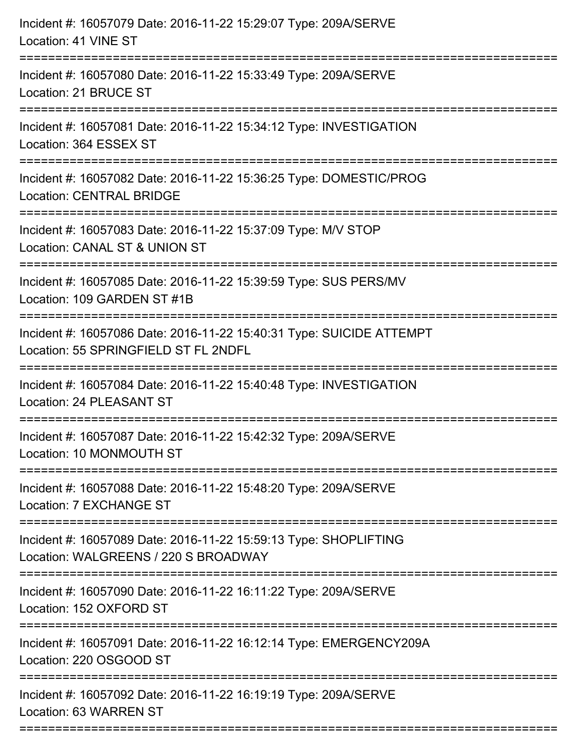| Incident #: 16057079 Date: 2016-11-22 15:29:07 Type: 209A/SERVE<br>Location: 41 VINE ST                      |
|--------------------------------------------------------------------------------------------------------------|
| Incident #: 16057080 Date: 2016-11-22 15:33:49 Type: 209A/SERVE<br>Location: 21 BRUCE ST                     |
| Incident #: 16057081 Date: 2016-11-22 15:34:12 Type: INVESTIGATION<br>Location: 364 ESSEX ST                 |
| Incident #: 16057082 Date: 2016-11-22 15:36:25 Type: DOMESTIC/PROG<br><b>Location: CENTRAL BRIDGE</b>        |
| Incident #: 16057083 Date: 2016-11-22 15:37:09 Type: M/V STOP<br>Location: CANAL ST & UNION ST               |
| Incident #: 16057085 Date: 2016-11-22 15:39:59 Type: SUS PERS/MV<br>Location: 109 GARDEN ST #1B              |
| Incident #: 16057086 Date: 2016-11-22 15:40:31 Type: SUICIDE ATTEMPT<br>Location: 55 SPRINGFIELD ST FL 2NDFL |
| Incident #: 16057084 Date: 2016-11-22 15:40:48 Type: INVESTIGATION<br>Location: 24 PLEASANT ST               |
| Incident #: 16057087 Date: 2016-11-22 15:42:32 Type: 209A/SERVE<br>Location: 10 MONMOUTH ST                  |
| Incident #: 16057088 Date: 2016-11-22 15:48:20 Type: 209A/SERVE<br>Location: 7 EXCHANGE ST                   |
| Incident #: 16057089 Date: 2016-11-22 15:59:13 Type: SHOPLIFTING<br>Location: WALGREENS / 220 S BROADWAY     |
| Incident #: 16057090 Date: 2016-11-22 16:11:22 Type: 209A/SERVE<br>Location: 152 OXFORD ST                   |
| Incident #: 16057091 Date: 2016-11-22 16:12:14 Type: EMERGENCY209A<br>Location: 220 OSGOOD ST                |
| Incident #: 16057092 Date: 2016-11-22 16:19:19 Type: 209A/SERVE<br>Location: 63 WARREN ST                    |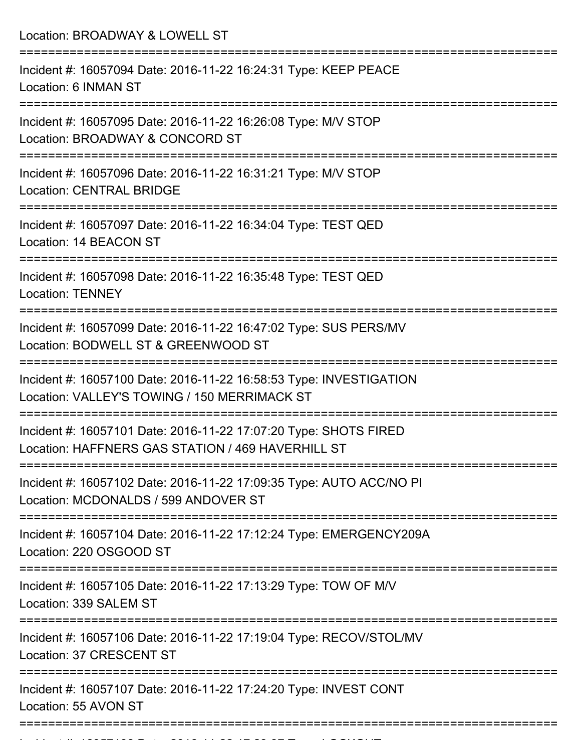Location: BROADWAY & LOWELL ST =========================================================================== Incident #: 16057094 Date: 2016-11-22 16:24:31 Type: KEEP PEACE Location: 6 INMAN ST =========================================================================== Incident #: 16057095 Date: 2016-11-22 16:26:08 Type: M/V STOP Location: BROADWAY & CONCORD ST =========================================================================== Incident #: 16057096 Date: 2016-11-22 16:31:21 Type: M/V STOP Location: CENTRAL BRIDGE =========================================================================== Incident #: 16057097 Date: 2016-11-22 16:34:04 Type: TEST QED Location: 14 BEACON ST =========================================================================== Incident #: 16057098 Date: 2016-11-22 16:35:48 Type: TEST QED Location: TENNEY =========================================================================== Incident #: 16057099 Date: 2016-11-22 16:47:02 Type: SUS PERS/MV Location: BODWELL ST & GREENWOOD ST =========================================================================== Incident #: 16057100 Date: 2016-11-22 16:58:53 Type: INVESTIGATION Location: VALLEY'S TOWING / 150 MERRIMACK ST =========================================================================== Incident #: 16057101 Date: 2016-11-22 17:07:20 Type: SHOTS FIRED Location: HAFFNERS GAS STATION / 469 HAVERHILL ST =========================================================================== Incident #: 16057102 Date: 2016-11-22 17:09:35 Type: AUTO ACC/NO PI Location: MCDONALDS / 599 ANDOVER ST =========================================================================== Incident #: 16057104 Date: 2016-11-22 17:12:24 Type: EMERGENCY209A Location: 220 OSGOOD ST =========================================================================== Incident #: 16057105 Date: 2016-11-22 17:13:29 Type: TOW OF M/V Location: 339 SALEM ST =========================================================================== Incident #: 16057106 Date: 2016-11-22 17:19:04 Type: RECOV/STOL/MV Location: 37 CRESCENT ST =========================================================================== Incident #: 16057107 Date: 2016-11-22 17:24:20 Type: INVEST CONT Location: 55 AVON ST ===========================================================================

Incident #: 16057108 Date: 2016 11 22 17:29:37 Type: 2016 11 23 17:29:37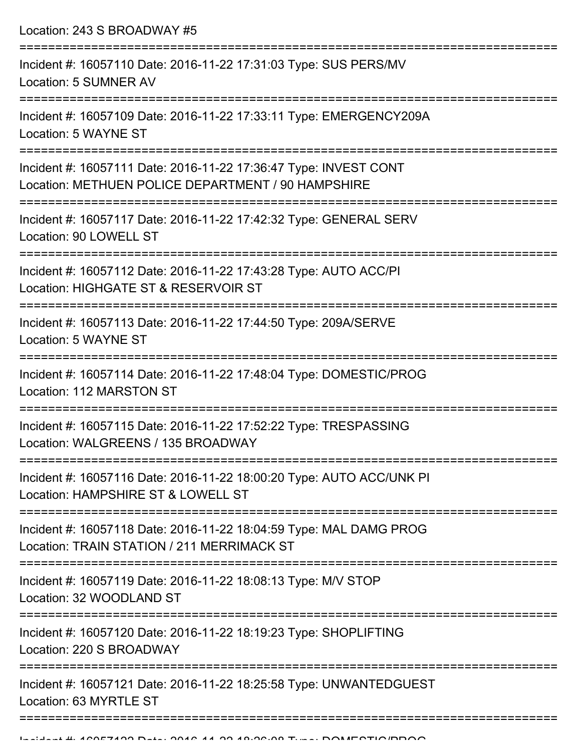Location: 243 S BROADWAY #5

| Incident #: 16057110 Date: 2016-11-22 17:31:03 Type: SUS PERS/MV<br>Location: 5 SUMNER AV                              |
|------------------------------------------------------------------------------------------------------------------------|
| Incident #: 16057109 Date: 2016-11-22 17:33:11 Type: EMERGENCY209A<br>Location: 5 WAYNE ST                             |
| Incident #: 16057111 Date: 2016-11-22 17:36:47 Type: INVEST CONT<br>Location: METHUEN POLICE DEPARTMENT / 90 HAMPSHIRE |
| Incident #: 16057117 Date: 2016-11-22 17:42:32 Type: GENERAL SERV<br>Location: 90 LOWELL ST                            |
| Incident #: 16057112 Date: 2016-11-22 17:43:28 Type: AUTO ACC/PI<br>Location: HIGHGATE ST & RESERVOIR ST               |
| Incident #: 16057113 Date: 2016-11-22 17:44:50 Type: 209A/SERVE<br>Location: 5 WAYNE ST                                |
| Incident #: 16057114 Date: 2016-11-22 17:48:04 Type: DOMESTIC/PROG<br>Location: 112 MARSTON ST                         |
| Incident #: 16057115 Date: 2016-11-22 17:52:22 Type: TRESPASSING<br>Location: WALGREENS / 135 BROADWAY                 |
| Incident #: 16057116 Date: 2016-11-22 18:00:20 Type: AUTO ACC/UNK PI<br>Location: HAMPSHIRE ST & LOWELL ST             |
| Incident #: 16057118 Date: 2016-11-22 18:04:59 Type: MAL DAMG PROG<br>Location: TRAIN STATION / 211 MERRIMACK ST       |
| Incident #: 16057119 Date: 2016-11-22 18:08:13 Type: M/V STOP<br>Location: 32 WOODLAND ST                              |
| Incident #: 16057120 Date: 2016-11-22 18:19:23 Type: SHOPLIFTING<br>Location: 220 S BROADWAY                           |
| Incident #: 16057121 Date: 2016-11-22 18:25:58 Type: UNWANTEDGUEST<br>Location: 63 MYRTLE ST                           |
|                                                                                                                        |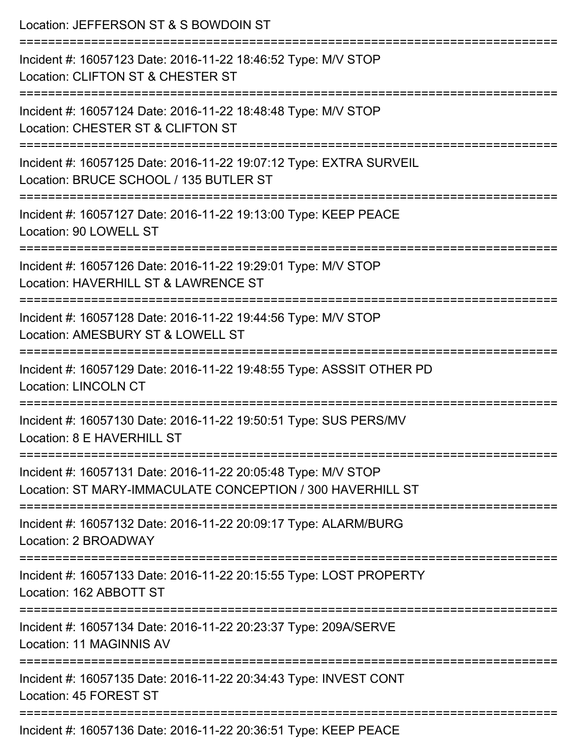| Location: JEFFERSON ST & S BOWDOIN ST                                                                                                                  |
|--------------------------------------------------------------------------------------------------------------------------------------------------------|
| Incident #: 16057123 Date: 2016-11-22 18:46:52 Type: M/V STOP<br>Location: CLIFTON ST & CHESTER ST                                                     |
| Incident #: 16057124 Date: 2016-11-22 18:48:48 Type: M/V STOP<br>Location: CHESTER ST & CLIFTON ST                                                     |
| Incident #: 16057125 Date: 2016-11-22 19:07:12 Type: EXTRA SURVEIL<br>Location: BRUCE SCHOOL / 135 BUTLER ST<br>====================================== |
| ===========================<br>Incident #: 16057127 Date: 2016-11-22 19:13:00 Type: KEEP PEACE<br>Location: 90 LOWELL ST                               |
| Incident #: 16057126 Date: 2016-11-22 19:29:01 Type: M/V STOP<br>Location: HAVERHILL ST & LAWRENCE ST                                                  |
| :==========================<br>Incident #: 16057128 Date: 2016-11-22 19:44:56 Type: M/V STOP<br>Location: AMESBURY ST & LOWELL ST                      |
| Incident #: 16057129 Date: 2016-11-22 19:48:55 Type: ASSSIT OTHER PD<br><b>Location: LINCOLN CT</b>                                                    |
| Incident #: 16057130 Date: 2016-11-22 19:50:51 Type: SUS PERS/MV<br>Location: 8 E HAVERHILL ST                                                         |
| Incident #: 16057131 Date: 2016-11-22 20:05:48 Type: M/V STOP<br>Location: ST MARY-IMMACULATE CONCEPTION / 300 HAVERHILL ST                            |
| Incident #: 16057132 Date: 2016-11-22 20:09:17 Type: ALARM/BURG<br>Location: 2 BROADWAY                                                                |
| Incident #: 16057133 Date: 2016-11-22 20:15:55 Type: LOST PROPERTY<br>Location: 162 ABBOTT ST                                                          |
| Incident #: 16057134 Date: 2016-11-22 20:23:37 Type: 209A/SERVE<br>Location: 11 MAGINNIS AV                                                            |
| Incident #: 16057135 Date: 2016-11-22 20:34:43 Type: INVEST CONT<br>Location: 45 FOREST ST                                                             |
| Incident #: 16057136 Date: 2016-11-22 20:36:51 Type: KEEP PEACE                                                                                        |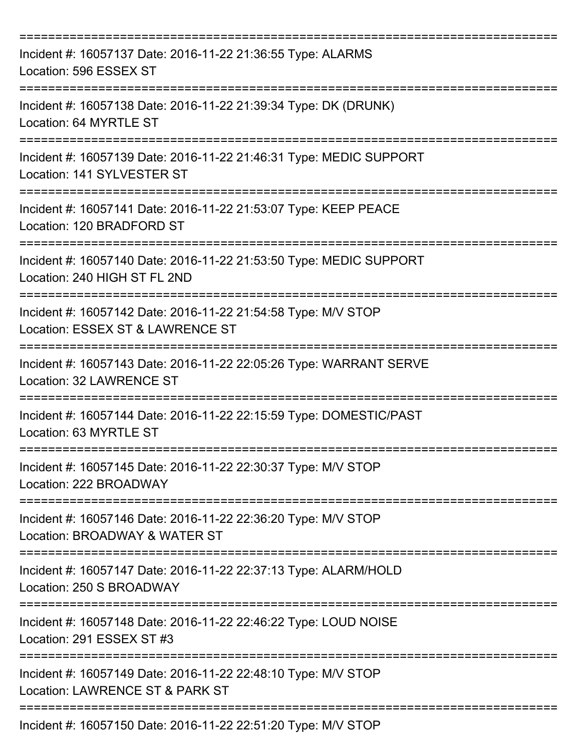| Incident #: 16057137 Date: 2016-11-22 21:36:55 Type: ALARMS<br>Location: 596 ESSEX ST                 |
|-------------------------------------------------------------------------------------------------------|
| Incident #: 16057138 Date: 2016-11-22 21:39:34 Type: DK (DRUNK)<br>Location: 64 MYRTLE ST             |
| Incident #: 16057139 Date: 2016-11-22 21:46:31 Type: MEDIC SUPPORT<br>Location: 141 SYLVESTER ST      |
| Incident #: 16057141 Date: 2016-11-22 21:53:07 Type: KEEP PEACE<br>Location: 120 BRADFORD ST          |
| Incident #: 16057140 Date: 2016-11-22 21:53:50 Type: MEDIC SUPPORT<br>Location: 240 HIGH ST FL 2ND    |
| Incident #: 16057142 Date: 2016-11-22 21:54:58 Type: M/V STOP<br>Location: ESSEX ST & LAWRENCE ST     |
| Incident #: 16057143 Date: 2016-11-22 22:05:26 Type: WARRANT SERVE<br><b>Location: 32 LAWRENCE ST</b> |
| Incident #: 16057144 Date: 2016-11-22 22:15:59 Type: DOMESTIC/PAST<br>Location: 63 MYRTLE ST          |
| Incident #: 16057145 Date: 2016-11-22 22:30:37 Type: M/V STOP<br>Location: 222 BROADWAY               |
| Incident #: 16057146 Date: 2016-11-22 22:36:20 Type: M/V STOP<br>Location: BROADWAY & WATER ST        |
| Incident #: 16057147 Date: 2016-11-22 22:37:13 Type: ALARM/HOLD<br>Location: 250 S BROADWAY           |
| Incident #: 16057148 Date: 2016-11-22 22:46:22 Type: LOUD NOISE<br>Location: 291 ESSEX ST #3          |
| Incident #: 16057149 Date: 2016-11-22 22:48:10 Type: M/V STOP<br>Location: LAWRENCE ST & PARK ST      |
| Incident #: 16057150 Date: 2016-11-22 22:51:20 Type: M/V STOP                                         |